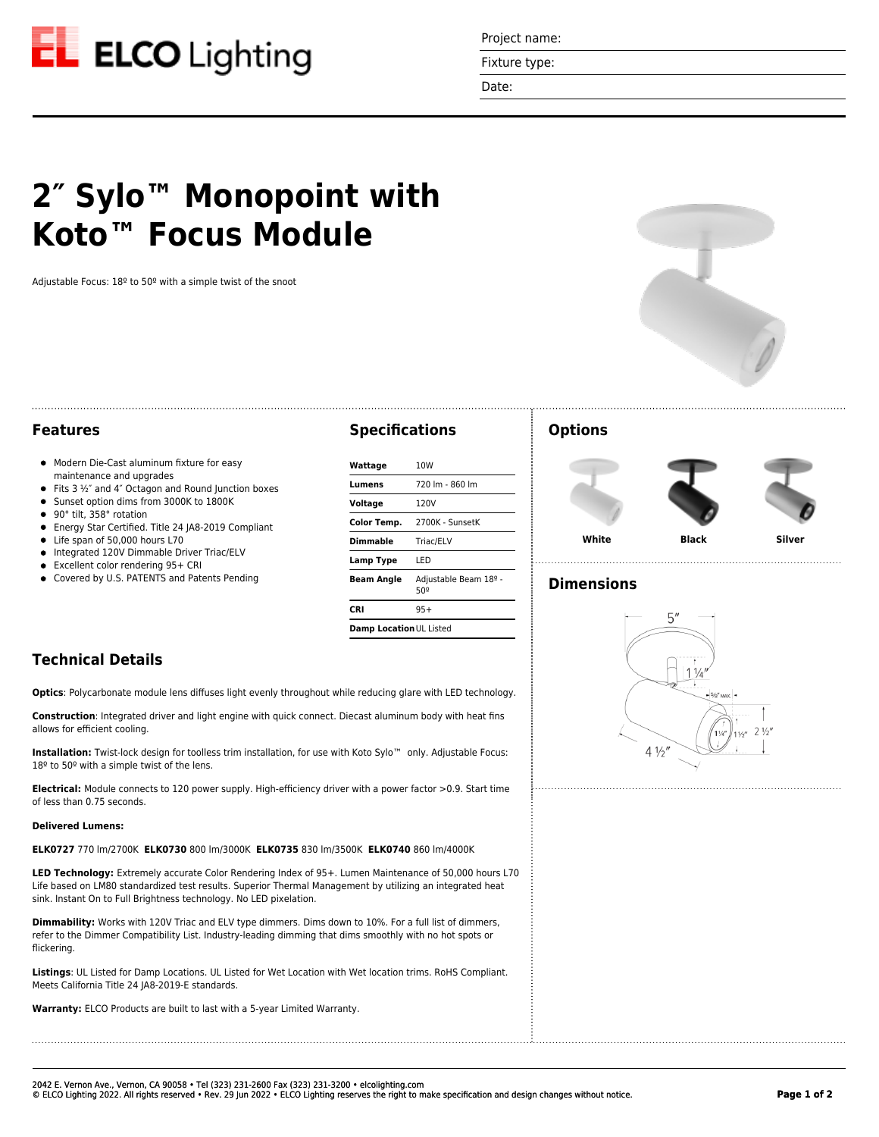

Project name:

Fixture type:

Date:

# **2″ Sylo™ Monopoint with Koto™ Focus Module**

Adjustable Focus: 18º to 50º with a simple twist of the snoot



#### **Features**

- $\bullet$  Modern Die-Cast aluminum fixture for easy maintenance and upgrades
- Fits  $3 \frac{1}{2}$  and  $4$ " Octagon and Round Junction boxes
- Sunset option dims from 3000K to 1800K
- 90° tilt, 358° rotation  $\bullet$
- Energy Star Certified. Title 24 JA8-2019 Compliant
- Life span of 50,000 hours L70
- $\bullet$  Integrated 120V Dimmable Driver Triac/ELV
- Excellent color rendering 95+ CRI
- Covered by U.S. PATENTS and Patents Pending

### **Specifications**

| Wattage                 | 10W                          |
|-------------------------|------------------------------|
| Lumens                  | 720 lm - 860 lm              |
| Voltage                 | 120V                         |
| <b>Color Temp.</b>      | 2700K - SunsetK              |
| <b>Dimmable</b>         | Triac/ELV                    |
| Lamp Type               | I FD                         |
| <b>Beam Angle</b>       | Adjustable Beam 18º -<br>50º |
| CRI                     | $95+$                        |
| Damp Location UL Listed |                              |

#### **Options**





. . . . . . . . . . . . . . . . . . . .

**White Black Silver**

## **Dimensions**



# **Technical Details**

**Optics**: Polycarbonate module lens diffuses light evenly throughout while reducing glare with LED technology.

**Construction**: Integrated driver and light engine with quick connect. Diecast aluminum body with heat fins allows for efficient cooling.

**Installation:** Twist-lock design for toolless trim installation, for use with Koto Sylo™ only. Adjustable Focus: 18º to 50º with a simple twist of the lens.

**Electrical:** Module connects to 120 power supply. High-efficiency driver with a power factor >0.9. Start time of less than 0.75 seconds.

#### **Delivered Lumens:**

**ELK0727** 770 lm/2700K **ELK0730** 800 lm/3000K **ELK0735** 830 lm/3500K **ELK0740** 860 lm/4000K

**LED Technology:** Extremely accurate Color Rendering Index of 95+. Lumen Maintenance of 50,000 hours L70 Life based on LM80 standardized test results. Superior Thermal Management by utilizing an integrated heat sink. Instant On to Full Brightness technology. No LED pixelation.

**Dimmability:** Works with 120V Triac and ELV type dimmers. Dims down to 10%. For a full list of dimmers, refer to the Dimmer Compatibility List. Industry-leading dimming that dims smoothly with no hot spots or flickering.

**Listings**: UL Listed for Damp Locations. UL Listed for Wet Location with Wet location trims. RoHS Compliant. Meets California Title 24 JA8-2019-E standards.

**Warranty:** ELCO Products are built to last with a 5-year Limited Warranty.